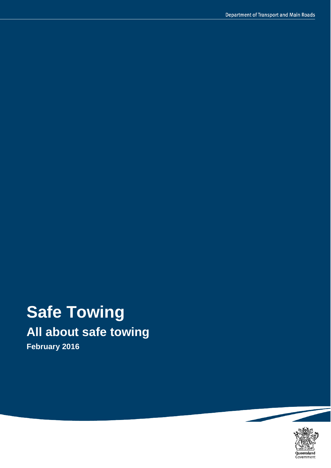# **Safe Towing All about safe towing**

**February 2016**

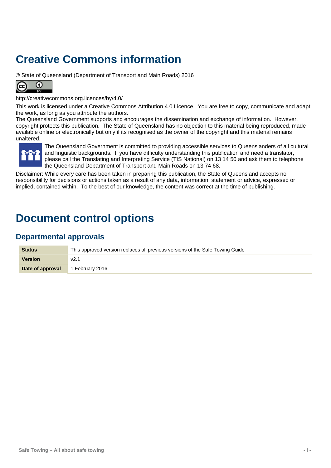## **Creative Commons information**

© State of Queensland (Department of Transport and Main Roads) 2016



<http://creativecommons.org.licences/by/4.0/>

This work is licensed under a Creative Commons Attribution 4.0 Licence. You are free to copy, communicate and adapt the work, as long as you attribute the authors.

The Queensland Government supports and encourages the dissemination and exchange of information. However, copyright protects this publication. The State of Queensland has no objection to this material being reproduced, made available online or electronically but only if its recognised as the owner of the copyright and this material remains unaltered.



The Queensland Government is committed to providing accessible services to Queenslanders of all cultural and linguistic backgrounds. If you have difficulty understanding this publication and need a translator, please call the Translating and Interpreting Service (TIS National) on 13 14 50 and ask them to telephone the Queensland Department of Transport and Main Roads on 13 74 68.

Disclaimer: While every care has been taken in preparing this publication, the State of Queensland accepts no responsibility for decisions or actions taken as a result of any data, information, statement or advice, expressed or implied, contained within. To the best of our knowledge, the content was correct at the time of publishing.

## **Document control options**

### **Departmental approvals**

| <b>Status</b>    | This approved version replaces all previous versions of the Safe Towing Guide |
|------------------|-------------------------------------------------------------------------------|
| <b>Version</b>   | v2.1                                                                          |
| Date of approval | 1 February 2016                                                               |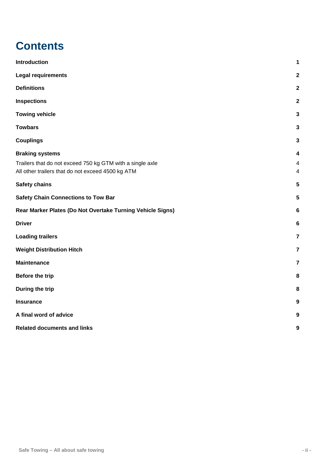## **Contents**

| Introduction                                                                                                                             | 1                                                        |
|------------------------------------------------------------------------------------------------------------------------------------------|----------------------------------------------------------|
| <b>Legal requirements</b>                                                                                                                | $\overline{\mathbf{2}}$                                  |
| <b>Definitions</b>                                                                                                                       | $\overline{\mathbf{2}}$                                  |
| <b>Inspections</b>                                                                                                                       | $\overline{2}$                                           |
| <b>Towing vehicle</b>                                                                                                                    | 3                                                        |
| <b>Towbars</b>                                                                                                                           | 3                                                        |
| <b>Couplings</b>                                                                                                                         | 3                                                        |
| <b>Braking systems</b><br>Trailers that do not exceed 750 kg GTM with a single axle<br>All other trailers that do not exceed 4500 kg ATM | $\overline{\mathbf{4}}$<br>$\overline{\mathcal{A}}$<br>4 |
| <b>Safety chains</b>                                                                                                                     | 5                                                        |
| <b>Safety Chain Connections to Tow Bar</b>                                                                                               | 5                                                        |
| Rear Marker Plates (Do Not Overtake Turning Vehicle Signs)                                                                               | 6                                                        |
| <b>Driver</b>                                                                                                                            | 6                                                        |
| <b>Loading trailers</b>                                                                                                                  | $\overline{7}$                                           |
| <b>Weight Distribution Hitch</b>                                                                                                         | $\overline{7}$                                           |
| <b>Maintenance</b>                                                                                                                       | $\overline{7}$                                           |
| Before the trip                                                                                                                          | 8                                                        |
| During the trip                                                                                                                          | 8                                                        |
| <b>Insurance</b>                                                                                                                         | 9                                                        |
| A final word of advice                                                                                                                   | 9                                                        |
| <b>Related documents and links</b>                                                                                                       | 9                                                        |
|                                                                                                                                          |                                                          |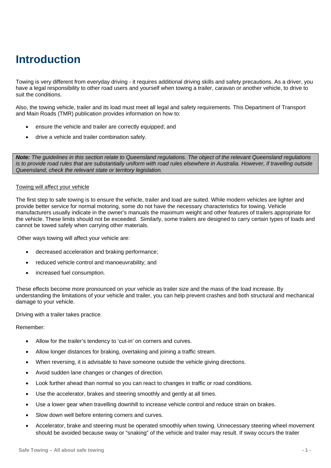## <span id="page-3-0"></span>**Introduction**

Towing is very different from everyday driving - it requires additional driving skills and safety precautions. As a driver, you have a legal responsibility to other road users and yourself when towing a trailer, caravan or another vehicle, to drive to suit the conditions.

Also, the towing vehicle, trailer and its load must meet all legal and safety requirements. This Department of Transport and Main Roads (TMR) publication provides information on how to:

- ensure the vehicle and trailer are correctly equipped; and
- drive a vehicle and trailer combination safely.

*Note: The guidelines in this section relate to Queensland regulations. The object of the relevant Queensland regulations is to provide road rules that are substantially uniform with road rules elsewhere in Australia. However, if travelling outside Queensland, check the relevant state or territory legislation.*

#### Towing will affect your vehicle

The first step to safe towing is to ensure the vehicle, trailer and load are suited. While modern vehicles are lighter and provide better service for normal motoring, some do not have the necessary characteristics for towing. Vehicle manufacturers usually indicate in the owner's manuals the maximum weight and other features of trailers appropriate for the vehicle. These limits should not be exceeded. Similarly, some trailers are designed to carry certain types of loads and cannot be towed safely when carrying other materials.

Other ways towing will affect your vehicle are:

- decreased acceleration and braking performance;
- reduced vehicle control and manoeuvrability; and
- increased fuel consumption.

These effects become more pronounced on your vehicle as trailer size and the mass of the load increase. By understanding the limitations of your vehicle and trailer, you can help prevent crashes and both structural and mechanical damage to your vehicle.

Driving with a trailer takes practice.

Remember:

- Allow for the trailer's tendency to 'cut-in' on corners and curves.
- Allow longer distances for braking, overtaking and joining a traffic stream.
- When reversing, it is advisable to have someone outside the vehicle giving directions.
- Avoid sudden lane changes or changes of direction.
- Look further ahead than normal so you can react to changes in traffic or road conditions.
- Use the accelerator, brakes and steering smoothly and gently at all times.
- Use a lower gear when travelling downhill to increase vehicle control and reduce strain on brakes.
- Slow down well before entering corners and curves.
- Accelerator, brake and steering must be operated smoothly when towing. Unnecessary steering wheel movement should be avoided because sway or "snaking" of the vehicle and trailer may result. If sway occurs the trailer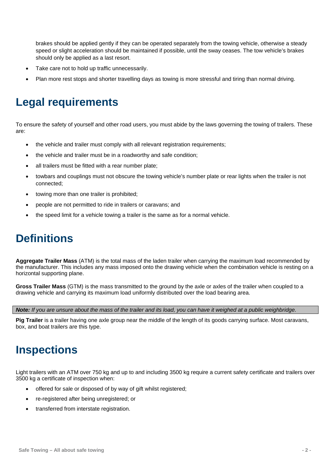brakes should be applied gently if they can be operated separately from the towing vehicle, otherwise a steady speed or slight acceleration should be maintained if possible, until the sway ceases. The tow vehicle's brakes should only be applied as a last resort.

- Take care not to hold up traffic unnecessarily.
- Plan more rest stops and shorter travelling days as towing is more stressful and tiring than normal driving.

## <span id="page-4-0"></span>**Legal requirements**

To ensure the safety of yourself and other road users, you must abide by the laws governing the towing of trailers. These are:

- the vehicle and trailer must comply with all relevant registration requirements;
- the vehicle and trailer must be in a roadworthy and safe condition;
- all trailers must be fitted with a rear number plate:
- towbars and couplings must not obscure the towing vehicle's number plate or rear lights when the trailer is not connected;
- towing more than one trailer is prohibited;
- people are not permitted to ride in trailers or caravans; and
- the speed limit for a vehicle towing a trailer is the same as for a normal vehicle.

## <span id="page-4-1"></span>**Definitions**

**Aggregate Trailer Mass** (ATM) is the total mass of the laden trailer when carrying the maximum load recommended by the manufacturer. This includes any mass imposed onto the drawing vehicle when the combination vehicle is resting on a horizontal supporting plane.

**Gross Trailer Mass** (GTM) is the mass transmitted to the ground by the axle or axles of the trailer when coupled to a drawing vehicle and carrying its maximum load uniformly distributed over the load bearing area.

*Note: If you are unsure about the mass of the trailer and its load, you can have it weighed at a public weighbridge.*

<span id="page-4-2"></span>**Pig Trailer** is a trailer having one axle group near the middle of the length of its goods carrying surface. Most caravans, box, and boat trailers are this type.

## **Inspections**

Light trailers with an ATM over 750 kg and up to and including 3500 kg require a current safety certificate and trailers over 3500 kg a certificate of inspection when:

- offered for sale or disposed of by way of gift whilst registered:
- re-registered after being unregistered; or
- transferred from interstate registration.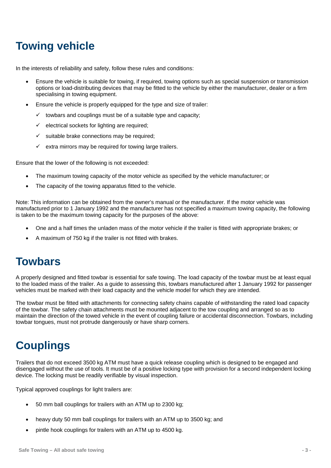## <span id="page-5-0"></span>**Towing vehicle**

In the interests of reliability and safety, follow these rules and conditions:

- Ensure the vehicle is suitable for towing, if required, towing options such as special suspension or transmission options or load-distributing devices that may be fitted to the vehicle by either the manufacturer, dealer or a firm specialising in towing equipment.
- Ensure the vehicle is properly equipped for the type and size of trailer:
	- $\checkmark$  towbars and couplings must be of a suitable type and capacity;
	- $\checkmark$  electrical sockets for lighting are required;
	- $\checkmark$  suitable brake connections may be required:
	- extra mirrors may be required for towing large trailers.

Ensure that the lower of the following is not exceeded:

- The maximum towing capacity of the motor vehicle as specified by the vehicle manufacturer; or
- The capacity of the towing apparatus fitted to the vehicle.

Note: This information can be obtained from the owner's manual or the manufacturer. If the motor vehicle was manufactured prior to 1 January 1992 and the manufacturer has not specified a maximum towing capacity, the following is taken to be the maximum towing capacity for the purposes of the above:

- One and a half times the unladen mass of the motor vehicle if the trailer is fitted with appropriate brakes; or
- A maximum of 750 kg if the trailer is not fitted with brakes.

### <span id="page-5-1"></span>**Towbars**

A properly designed and fitted towbar is essential for safe towing. The load capacity of the towbar must be at least equal to the loaded mass of the trailer. As a guide to assessing this, towbars manufactured after 1 January 1992 for passenger vehicles must be marked with their load capacity and the vehicle model for which they are intended.

The towbar must be fitted with attachments for connecting safety chains capable of withstanding the rated load capacity of the towbar. The safety chain attachments must be mounted adjacent to the tow coupling and arranged so as to maintain the direction of the towed vehicle in the event of coupling failure or accidental disconnection. Towbars, including towbar tongues, must not protrude dangerously or have sharp corners.

## <span id="page-5-2"></span>**Couplings**

Trailers that do not exceed 3500 kg ATM must have a quick release coupling which is designed to be engaged and disengaged without the use of tools. It must be of a positive locking type with provision for a second independent locking device. The locking must be readily verifiable by visual inspection.

Typical approved couplings for light trailers are:

- 50 mm ball couplings for trailers with an ATM up to 2300 kg;
- heavy duty 50 mm ball couplings for trailers with an ATM up to 3500 kg; and
- pintle hook couplings for trailers with an ATM up to 4500 kg.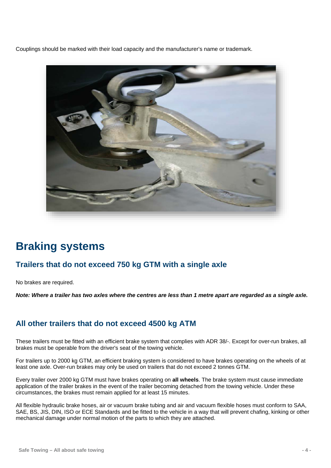Couplings should be marked with their load capacity and the manufacturer's name or trademark.



## <span id="page-6-0"></span>**Braking systems**

### <span id="page-6-1"></span>**Trailers that do not exceed 750 kg GTM with a single axle**

No brakes are required.

*Note: Where a trailer has two axles where the centres are less than 1 metre apart are regarded as a single axle.*

### <span id="page-6-2"></span>**All other trailers that do not exceed 4500 kg ATM**

These trailers must be fitted with an efficient brake system that complies with ADR 38/-. Except for over-run brakes, all brakes must be operable from the driver's seat of the towing vehicle.

For trailers up to 2000 kg GTM, an efficient braking system is considered to have brakes operating on the wheels of at least one axle. Over-run brakes may only be used on trailers that do not exceed 2 tonnes GTM.

Every trailer over 2000 kg GTM must have brakes operating on **all wheels**. The brake system must cause immediate application of the trailer brakes in the event of the trailer becoming detached from the towing vehicle. Under these circumstances, the brakes must remain applied for at least 15 minutes.

All flexible hydraulic brake hoses, air or vacuum brake tubing and air and vacuum flexible hoses must conform to SAA, SAE, BS, JIS, DIN, ISO or ECE Standards and be fitted to the vehicle in a way that will prevent chafing, kinking or other mechanical damage under normal motion of the parts to which they are attached.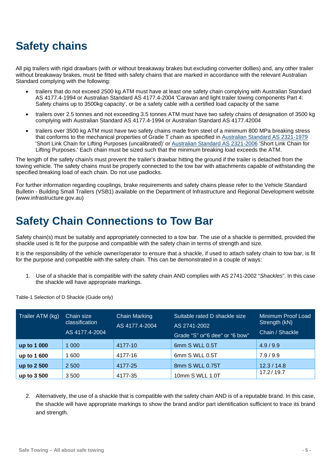## <span id="page-7-0"></span>**Safety chains**

All pig trailers with rigid drawbars (with or without breakaway brakes but excluding converter dollies) and, any other trailer without breakaway brakes, must be fitted with safety chains that are marked in accordance with the relevant Australian Standard complying with the following:

- trailers that do not exceed 2500 kg ATM must have at least one safety chain complying with Australian Standard AS 4177.4-1994 or Australian Standard AS 4177.4-2004 'Caravan and light trailer towing components Part 4: Safety chains up to 3500kg capacity', or be a safety cable with a certified load capacity of the same
- trailers over 2.5 tonnes and not exceeding 3.5 tonnes ATM must have two safety chains of designation of 3500 kg complying with Australian Standard AS 4177.4-1994 or Australian Standard AS 4177.42004
- trailers over 3500 kg ATM must have two safety chains made from steel of a minimum 800 MPa breaking stress that conforms to the mechanical properties of Grade T chain as specified in [Australian Standard AS 2321-1979](http://infostore.saiglobal.com/store/Details.aspx?ProductID=265928) 'Short Link Chain for Lifting Purposes (uncalibrated)' or [Australian Standard AS 2321-2006](http://infostore.saiglobal.com/store/Details.aspx?ProductID=265946) 'Short Link Chain for Lifting Purposes.' Each chain must be sized such that the minimum breaking load exceeds the ATM.

The length of the safety chain/s must prevent the trailer's drawbar hitting the ground if the trailer is detached from the towing vehicle. The safety chains must be properly connected to the tow bar with attachments capable of withstanding the specified breaking load of each chain. Do not use padlocks.

For further information regarding couplings, brake requirements and safety chains please refer to the Vehicle Standard Bulletin - Building Small Trailers (VSB1) available on the Department of Infrastructure and Regional Development website (www.infrastructure.gov.au)

## <span id="page-7-1"></span>**Safety Chain Connections to Tow Bar**

Safety chain(s) must be suitably and appropriately connected to a tow bar. The use of a shackle is permitted, provided the shackle used is fit for the purpose and compatible with the safety chain in terms of strength and size.

It is the responsibility of the vehicle owner/operator to ensure that a shackle, if used to attach safety chain to tow bar, is fit for the purpose and compatible with the safety chain. This can be demonstrated in a couple of ways:

1. Use of a shackle that is compatible with the safety chain AND complies with AS 2741-2002 "*Shackles*". In this case the shackle will have appropriate markings.

Trailer ATM (kg) Chain size classification AS 4177.4-2004 Chain Marking AS 4177.4-2004 Suitable rated D shackle size AS 2741-2002 Grade "S" or"6 dee" or "6 bow" Minimum Proof Load Strength (kN) Chain / Shackle **up to 1 000** 1 000 4177-10 6mm S WLL 0.5T 4.9 / 9.9 **up to 1 600** 1 600 4177-16 6mm S WLL 0.5T 7.9 / 9.9 **up to 2 500** 2 500 4177-25 8mm S WLL 0.75T 12.3 / 14.8 **up to 3 500** 3 500 4177-35 10mm S WLL 1.0T

Table-1 Selection of D Shackle (Guide only)

2. Alternatively, the use of a shackle that is compatible with the safety chain AND is of a reputable brand. In this case, the shackle will have appropriate markings to show the brand and/or part identification sufficient to trace its brand and strength.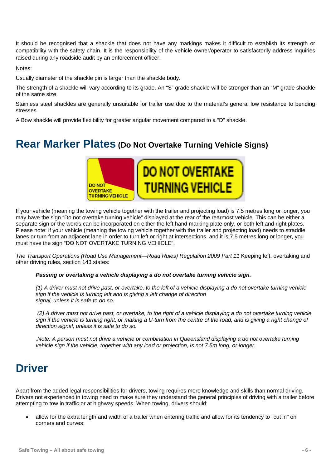It should be recognised that a shackle that does not have any markings makes it difficult to establish its strength or compatibility with the safety chain. It is the responsibility of the vehicle owner/operator to satisfactorily address inquiries raised during any roadside audit by an enforcement officer.

Notes:

Usually diameter of the shackle pin is larger than the shackle body.

The strength of a shackle will vary according to its grade. An "S" grade shackle will be stronger than an "M" grade shackle of the same size.

Stainless steel shackles are generally unsuitable for trailer use due to the material's general low resistance to bending stresses.

A Bow shackle will provide flexibility for greater angular movement compared to a "D" shackle.

### <span id="page-8-0"></span>**Rear Marker Plates (Do Not Overtake Turning Vehicle Signs)**



If your vehicle (meaning the towing vehicle together with the trailer and projecting load) is 7.5 metres long or longer, you may have the sign "Do not overtake turning vehicle" displayed at the rear of the rearmost vehicle. This can be either a separate sign or the words can be incorporated on either the left hand marking plate only, or both left and right plates. Please note: if your vehicle (meaning the towing vehicle together with the trailer and projecting load) needs to straddle lanes or turn from an adjacent lane in order to turn left or right at intersections, and it is 7.5 metres long or longer, you must have the sign "DO NOT OVERTAKE TURNING VEHICLE".

*The Transport Operations (Road Use Management—Road Rules) Regulation 2009 Part 11* Keeping left, overtaking and other driving rules, section 143 states:

#### *Passing or overtaking a vehicle displaying a do not overtake turning vehicle sign.*

*(1) A driver must not drive past, or overtake, to the left of a vehicle displaying a do not overtake turning vehicle sign if the vehicle is turning left and is giving a left change of direction signal, unless it is safe to do so.*

*(2) A driver must not drive past, or overtake, to the right of a vehicle displaying a do not overtake turning vehicle*  sign if the vehicle is turning right, or making a U-turn from the centre of the road, and is giving a right change of *direction signal, unless it is safe to do so.*

*.Note: A person must not drive a vehicle or combination in Queensland displaying a do not overtake turning vehicle sign if the vehicle, together with any load or projection, is not 7.5m long, or longer.*

### <span id="page-8-1"></span>**Driver**

Apart from the added legal responsibilities for drivers, towing requires more knowledge and skills than normal driving. Drivers not experienced in towing need to make sure they understand the general principles of driving with a trailer before attempting to tow in traffic or at highway speeds. When towing, drivers should:

• allow for the extra length and width of a trailer when entering traffic and allow for its tendency to "cut in" on corners and curves;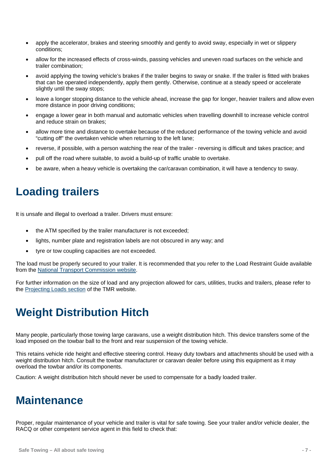- apply the accelerator, brakes and steering smoothly and gently to avoid sway, especially in wet or slippery conditions;
- allow for the increased effects of cross-winds, passing vehicles and uneven road surfaces on the vehicle and trailer combination;
- avoid applying the towing vehicle's brakes if the trailer begins to sway or snake. If the trailer is fitted with brakes that can be operated independently, apply them gently. Otherwise, continue at a steady speed or accelerate slightly until the sway stops;
- leave a longer stopping distance to the vehicle ahead, increase the gap for longer, heavier trailers and allow even more distance in poor driving conditions;
- engage a lower gear in both manual and automatic vehicles when travelling downhill to increase vehicle control and reduce strain on brakes;
- allow more time and distance to overtake because of the reduced performance of the towing vehicle and avoid "cutting off" the overtaken vehicle when returning to the left lane;
- reverse, if possible, with a person watching the rear of the trailer reversing is difficult and takes practice; and
- pull off the road where suitable, to avoid a build-up of traffic unable to overtake.
- be aware, when a heavy vehicle is overtaking the car/caravan combination, it will have a tendency to sway.

### <span id="page-9-0"></span>**Loading trailers**

It is unsafe and illegal to overload a trailer. Drivers must ensure:

- the ATM specified by the trailer manufacturer is not exceeded;
- lights, number plate and registration labels are not obscured in any way; and
- tyre or tow coupling capacities are not exceeded.

The load must be properly secured to your trailer. It is recommended that you refer to the Load Restraint Guide available from the [National Transport Commission website.](http://www.ntc.gov.au/)

<span id="page-9-1"></span>For further information on the size of load and any projection allowed for cars, utilities, trucks and trailers, please refer to the Projecting [Loads section](http://www.tmr.qld.gov.au/Safety/Vehicle-standards-and-modifications/Loads-and-towing/Projecting-loads.aspx) of the TMR website.

## **Weight Distribution Hitch**

Many people, particularly those towing large caravans, use a weight distribution hitch. This device transfers some of the load imposed on the towbar ball to the front and rear suspension of the towing vehicle.

This retains vehicle ride height and effective steering control. Heavy duty towbars and attachments should be used with a weight distribution hitch. Consult the towbar manufacturer or caravan dealer before using this equipment as it may overload the towbar and/or its components.

<span id="page-9-2"></span>Caution: A weight distribution hitch should never be used to compensate for a badly loaded trailer.

## **Maintenance**

Proper, regular maintenance of your vehicle and trailer is vital for safe towing. See your trailer and/or vehicle dealer, the RACQ or other competent service agent in this field to check that: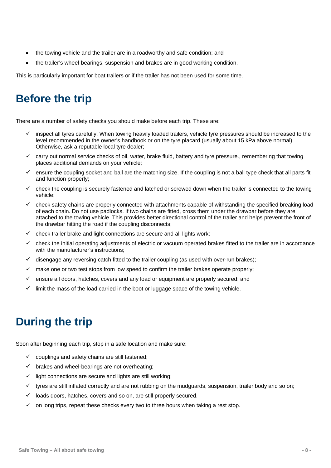- the towing vehicle and the trailer are in a roadworthy and safe condition; and
- the trailer's wheel-bearings, suspension and brakes are in good working condition.

<span id="page-10-0"></span>This is particularly important for boat trailers or if the trailer has not been used for some time.

## **Before the trip**

There are a number of safety checks you should make before each trip. These are:

- $\checkmark$  inspect all tyres carefully. When towing heavily loaded trailers, vehicle tyre pressures should be increased to the level recommended in the owner's handbook or on the tyre placard (usually about 15 kPa above normal). Otherwise, ask a reputable local tyre dealer;
- $\checkmark$  carry out normal service checks of oil, water, brake fluid, battery and tyre pressure., remembering that towing places additional demands on your vehicle;
- $\checkmark$  ensure the coupling socket and ball are the matching size. If the coupling is not a ball type check that all parts fit and function properly;
- $\checkmark$  check the coupling is securely fastened and latched or screwed down when the trailer is connected to the towing vehicle;
- $\checkmark$  check safety chains are properly connected with attachments capable of withstanding the specified breaking load of each chain. Do not use padlocks. If two chains are fitted, cross them under the drawbar before they are attached to the towing vehicle. This provides better directional control of the trailer and helps prevent the front of the drawbar hitting the road if the coupling disconnects;
- $\checkmark$  check trailer brake and light connections are secure and all lights work;
- check the initial operating adjustments of electric or vacuum operated brakes fitted to the trailer are in accordance with the manufacturer's instructions:
- $\checkmark$  disengage any reversing catch fitted to the trailer coupling (as used with over-run brakes);
- $\checkmark$  make one or two test stops from low speed to confirm the trailer brakes operate properly;
- $\checkmark$  ensure all doors, hatches, covers and any load or equipment are properly secured; and
- limit the mass of the load carried in the boot or luggage space of the towing vehicle.

## <span id="page-10-1"></span>**During the trip**

Soon after beginning each trip, stop in a safe location and make sure:

- $\checkmark$  couplings and safety chains are still fastened;
- $\checkmark$  brakes and wheel-bearings are not overheating:
- $\checkmark$  light connections are secure and lights are still working;
- $\checkmark$  tyres are still inflated correctly and are not rubbing on the mudguards, suspension, trailer body and so on;
- $\checkmark$  loads doors, hatches, covers and so on, are still properly secured.
- $\checkmark$  on long trips, repeat these checks every two to three hours when taking a rest stop.